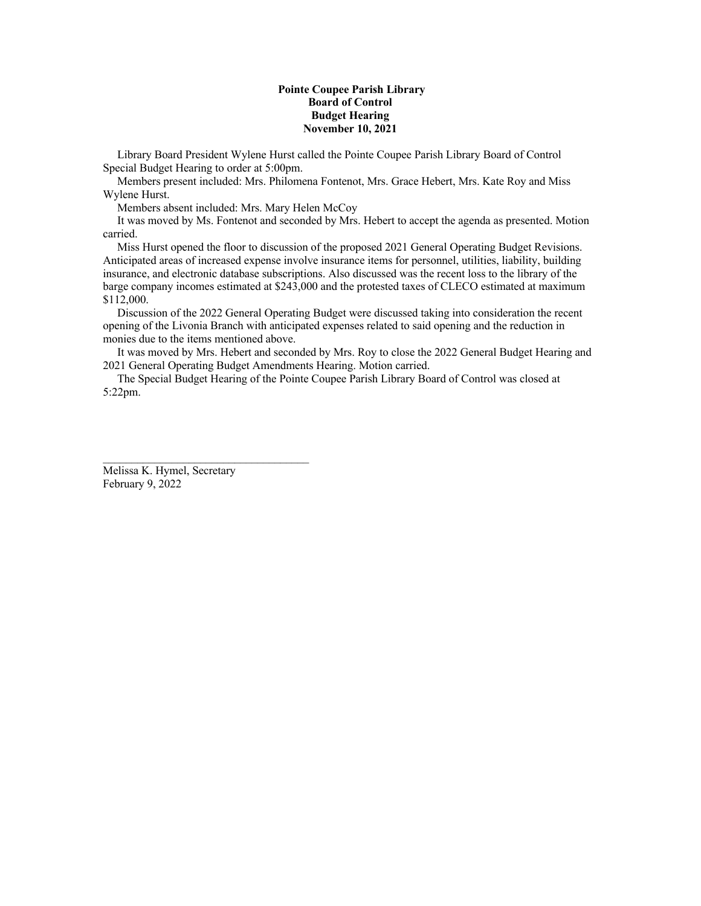## **Pointe Coupee Parish Library Board of Control Budget Hearing November 10, 2021**

 Library Board President Wylene Hurst called the Pointe Coupee Parish Library Board of Control Special Budget Hearing to order at 5:00pm.

 Members present included: Mrs. Philomena Fontenot, Mrs. Grace Hebert, Mrs. Kate Roy and Miss Wylene Hurst.

Members absent included: Mrs. Mary Helen McCoy

 It was moved by Ms. Fontenot and seconded by Mrs. Hebert to accept the agenda as presented. Motion carried.

 Miss Hurst opened the floor to discussion of the proposed 2021 General Operating Budget Revisions. Anticipated areas of increased expense involve insurance items for personnel, utilities, liability, building insurance, and electronic database subscriptions. Also discussed was the recent loss to the library of the barge company incomes estimated at \$243,000 and the protested taxes of CLECO estimated at maximum \$112,000.

 Discussion of the 2022 General Operating Budget were discussed taking into consideration the recent opening of the Livonia Branch with anticipated expenses related to said opening and the reduction in monies due to the items mentioned above.

 It was moved by Mrs. Hebert and seconded by Mrs. Roy to close the 2022 General Budget Hearing and 2021 General Operating Budget Amendments Hearing. Motion carried.

 The Special Budget Hearing of the Pointe Coupee Parish Library Board of Control was closed at 5:22pm.

Melissa K. Hymel, Secretary February 9, 2022